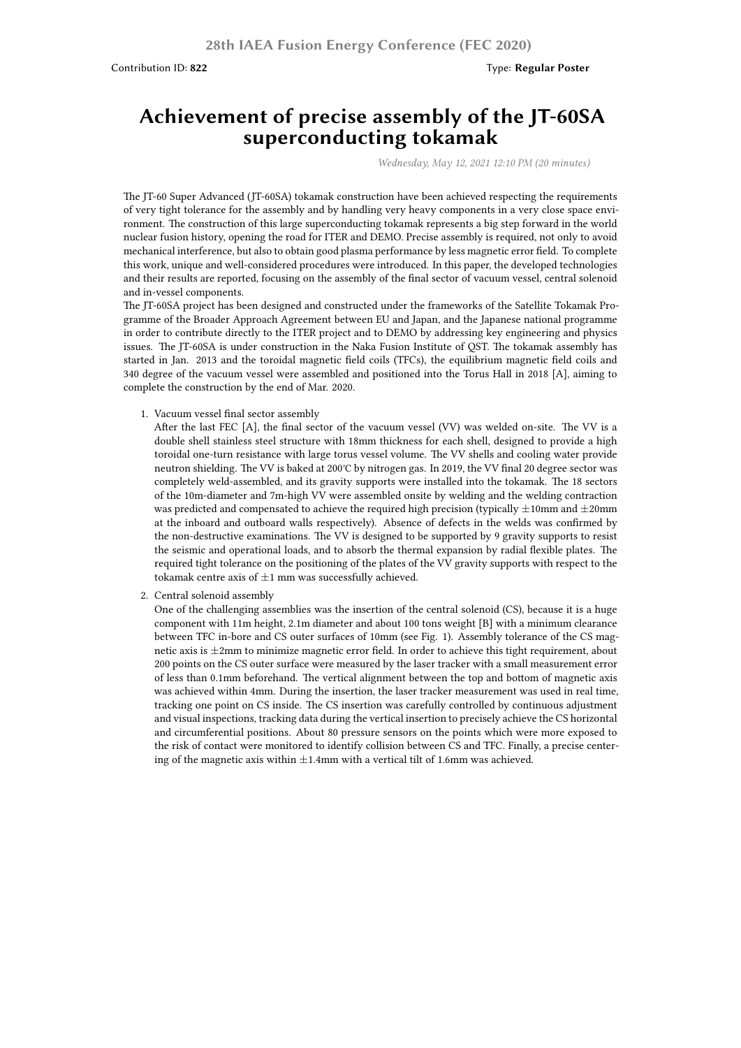## **Achievement of precise assembly of the JT-60SA superconducting tokamak**

*Wednesday, May 12, 2021 12:10 PM (20 minutes)*

The JT-60 Super Advanced (JT-60SA) tokamak construction have been achieved respecting the requirements of very tight tolerance for the assembly and by handling very heavy components in a very close space environment. The construction of this large superconducting tokamak represents a big step forward in the world nuclear fusion history, opening the road for ITER and DEMO. Precise assembly is required, not only to avoid mechanical interference, but also to obtain good plasma performance by less magnetic error field. To complete this work, unique and well-considered procedures were introduced. In this paper, the developed technologies and their results are reported, focusing on the assembly of the final sector of vacuum vessel, central solenoid and in-vessel components.

The JT-60SA project has been designed and constructed under the frameworks of the Satellite Tokamak Programme of the Broader Approach Agreement between EU and Japan, and the Japanese national programme in order to contribute directly to the ITER project and to DEMO by addressing key engineering and physics issues. The JT-60SA is under construction in the Naka Fusion Institute of QST. The tokamak assembly has started in Jan. 2013 and the toroidal magnetic field coils (TFCs), the equilibrium magnetic field coils and 340 degree of the vacuum vessel were assembled and positioned into the Torus Hall in 2018 [A], aiming to complete the construction by the end of Mar. 2020.

1. Vacuum vessel final sector assembly

After the last FEC [A], the final sector of the vacuum vessel (VV) was welded on-site. The VV is a double shell stainless steel structure with 18mm thickness for each shell, designed to provide a high toroidal one-turn resistance with large torus vessel volume. The VV shells and cooling water provide neutron shielding. The VV is baked at 200℃ by nitrogen gas. In 2019, the VV final 20 degree sector was completely weld-assembled, and its gravity supports were installed into the tokamak. The 18 sectors of the 10m-diameter and 7m-high VV were assembled onsite by welding and the welding contraction was predicted and compensated to achieve the required high precision (typically *±*10mm and *±*20mm at the inboard and outboard walls respectively). Absence of defects in the welds was confirmed by the non-destructive examinations. The VV is designed to be supported by 9 gravity supports to resist the seismic and operational loads, and to absorb the thermal expansion by radial flexible plates. The required tight tolerance on the positioning of the plates of the VV gravity supports with respect to the tokamak centre axis of *±*1 mm was successfully achieved.

2. Central solenoid assembly

One of the challenging assemblies was the insertion of the central solenoid (CS), because it is a huge component with 11m height, 2.1m diameter and about 100 tons weight [B] with a minimum clearance between TFC in-bore and CS outer surfaces of 10mm (see Fig. 1). Assembly tolerance of the CS magnetic axis is *±*2mm to minimize magnetic error field. In order to achieve this tight requirement, about 200 points on the CS outer surface were measured by the laser tracker with a small measurement error of less than 0.1mm beforehand. The vertical alignment between the top and bottom of magnetic axis was achieved within 4mm. During the insertion, the laser tracker measurement was used in real time, tracking one point on CS inside. The CS insertion was carefully controlled by continuous adjustment and visual inspections, tracking data during the vertical insertion to precisely achieve the CS horizontal and circumferential positions. About 80 pressure sensors on the points which were more exposed to the risk of contact were monitored to identify collision between CS and TFC. Finally, a precise centering of the magnetic axis within *±*1.4mm with a vertical tilt of 1.6mm was achieved.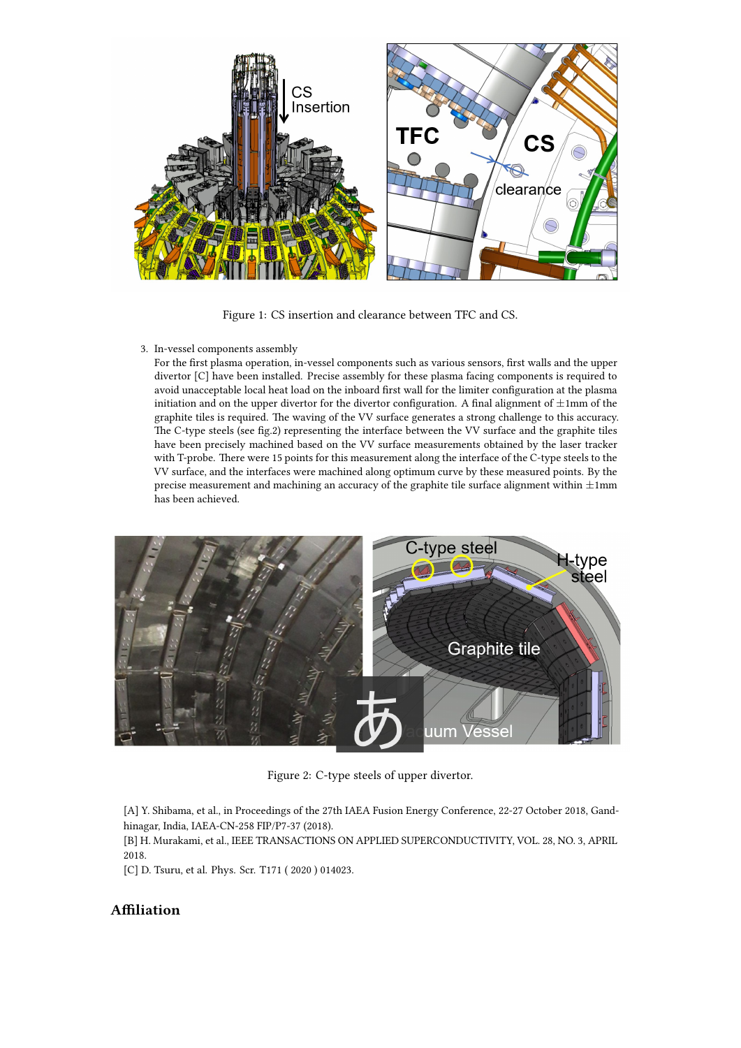

Figure 1: CS insertion and clearance between TFC and CS.

3. In-vessel components assembly

For the first plasma operation, in-vessel components such as various sensors, first walls and the upper divertor [C] have been installed. Precise assembly for these plasma facing components is required to avoid unacceptable local heat load on the inboard first wall for the limiter configuration at the plasma initiation and on the upper divertor for the divertor configuration. A final alignment of *±*1mm of the graphite tiles is required. The waving of the VV surface generates a strong challenge to this accuracy. The C-type steels (see fig.2) representing the interface between the VV surface and the graphite tiles have been precisely machined based on the VV surface measurements obtained by the laser tracker with T-probe. There were 15 points for this measurement along the interface of the C-type steels to the VV surface, and the interfaces were machined along optimum curve by these measured points. By the precise measurement and machining an accuracy of the graphite tile surface alignment within *±*1mm has been achieved.



Figure 2: C-type steels of upper divertor.

[A] Y. Shibama, et al., in Proceedings of the 27th IAEA Fusion Energy Conference, 22-27 October 2018, Gandhinagar, India, IAEA-CN-258 FIP/P7-37 (2018).

[B] H. Murakami, et al., IEEE TRANSACTIONS ON APPLIED SUPERCONDUCTIVITY, VOL. 28, NO. 3, APRIL 2018.

[C] D. Tsuru, et al. Phys. Scr. T171 ( 2020 ) 014023.

## **Affiliation**